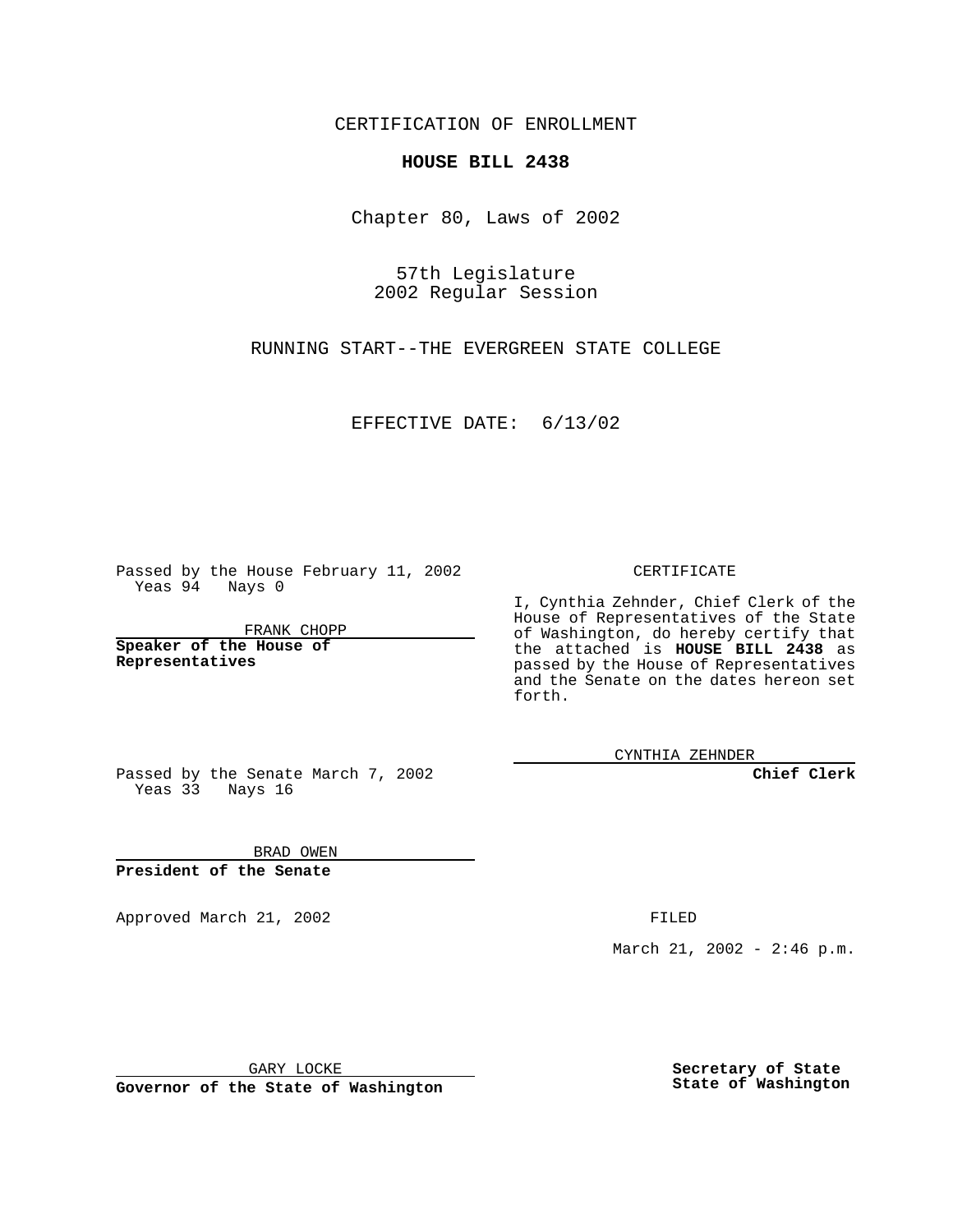CERTIFICATION OF ENROLLMENT

## **HOUSE BILL 2438**

Chapter 80, Laws of 2002

57th Legislature 2002 Regular Session

RUNNING START--THE EVERGREEN STATE COLLEGE

EFFECTIVE DATE: 6/13/02

Passed by the House February 11, 2002 Yeas 94 Nays 0

FRANK CHOPP

**Speaker of the House of Representatives**

CERTIFICATE

I, Cynthia Zehnder, Chief Clerk of the House of Representatives of the State of Washington, do hereby certify that the attached is **HOUSE BILL 2438** as passed by the House of Representatives and the Senate on the dates hereon set forth.

CYNTHIA ZEHNDER

**Chief Clerk**

Passed by the Senate March 7, 2002 Yeas 33 Nays 16

BRAD OWEN **President of the Senate**

Approved March 21, 2002 **FILED** 

March 21, 2002 - 2:46 p.m.

GARY LOCKE

**Governor of the State of Washington**

**Secretary of State State of Washington**